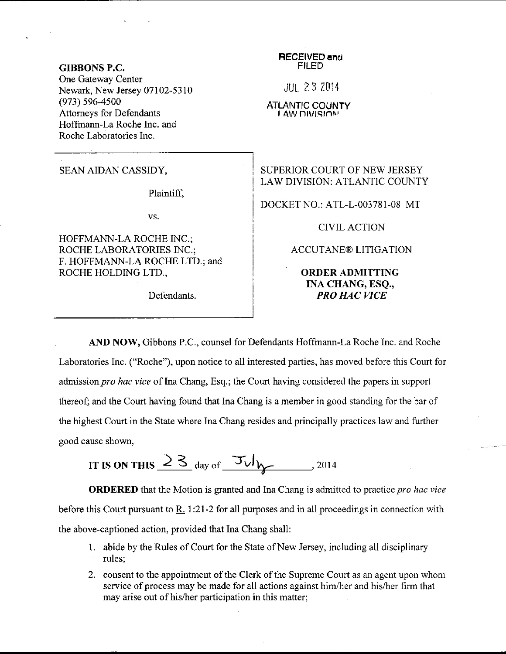## GIBBONS P.C.

One Gateway Center Newark, New Jersey 07102-5310 (973) s96-4500 Attomeys for Defendants Hoffmann-La Roche Inc. and Roche Laboratories Inc.

Plaintiff,

vs.

HOFFMANN.LA ROCHE INC.; ROCHE LABORATORIES INC.; F. HOFFMANN-LA ROCHE LTD.; and ROCHE HOLDING LTD.,

Defendants.

**RECEIVED and** FILED

iul 23 Z0l4

## ATLANTIC COUNTY I AW DIVISION

SEAN AIDAN CASSIDY, SUPERIOR COURT OF NEW JERSEY LAW DIVISION: ATLANTIC COUNTY

DOCKET NO.: ATL-L-003781-08 MT

CIVIL ACTION

ACCUTANE@ LITIGATION

ORDERADMITTING INA CHANG, ESQ., PRO HAC VICE

AND NOW, Gibbons P.C., counsel for Defendants Hoffmann-La Roche Inc. and Roche Laboratories Inc. ("Roche"), upon notice to all interested parties, has moved before this Court for admission pro hac vice of Ina Chang, Esq.; the Court having considered the papers in support thereof; and the Court having found that Ina Chang is a member in good standing for the bar of the highest Court in the State where Ina Chang resides and principally practices law and further good cause shown,

IT IS ON THIS  $\frac{23}{4}$  day of  $\frac{7\sqrt{11}}{2}$ . 2014

ORDERED that the Motion is granted and Ina Chang is admitted to practice pro hac vice before this Court pursuant to R. 1:21-2 for all purposes and in all proceedings in connection with the above-captioned action, provided that Ina Chang shall:

- 1. abide by the Rules of Court for the State of New Jersey, including all disciplinary rules;
- 2. consent to the appointment of the Clerk of the Supreme Court as an agent upon whom service of process may be made for all actions against him/her and his/her firm that may arise out of his/her participation in this matter;